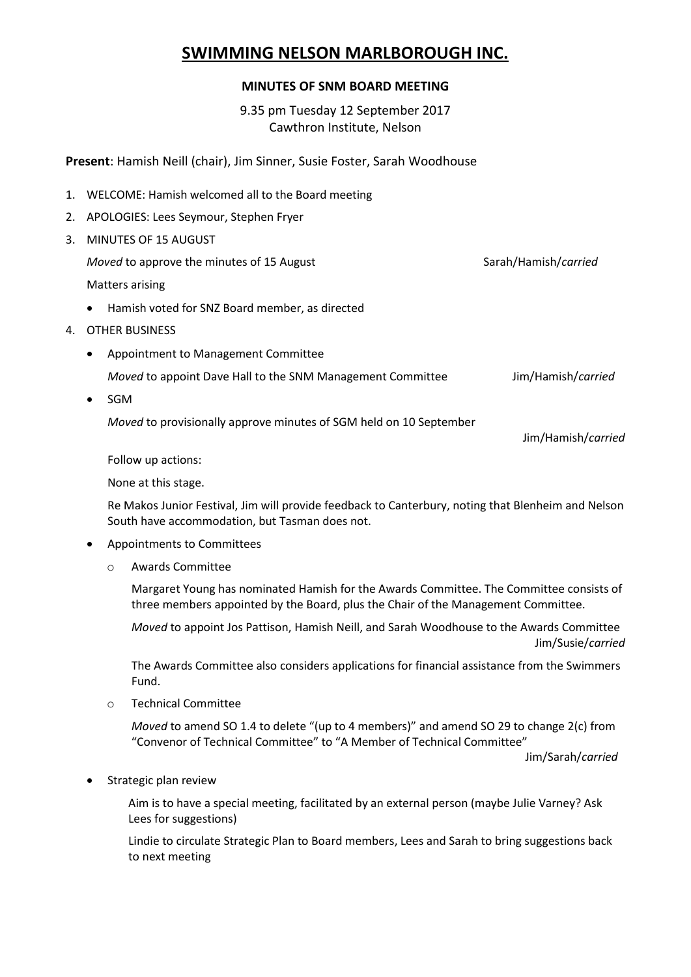# **SWIMMING NELSON MARLBOROUGH INC.**

#### **MINUTES OF SNM BOARD MEETING**

9.35 pm Tuesday 12 September 2017 Cawthron Institute, Nelson

**Present**: Hamish Neill (chair), Jim Sinner, Susie Foster, Sarah Woodhouse

- 1. WELCOME: Hamish welcomed all to the Board meeting
- 2. APOLOGIES: Lees Seymour, Stephen Fryer
- 3. MINUTES OF 15 AUGUST

*Moved* to approve the minutes of 15 August Sarah/Hamish/*carried* Sarah/Hamish/*carried* 

Matters arising

- Hamish voted for SNZ Board member, as directed
- 4. OTHER BUSINESS
	- Appointment to Management Committee

*Moved* to appoint Dave Hall to the SNM Management Committee Jim/Hamish/*carried* 

• SGM

*Moved* to provisionally approve minutes of SGM held on 10 September

Jim/Hamish/*carried*

Follow up actions:

None at this stage.

Re Makos Junior Festival, Jim will provide feedback to Canterbury, noting that Blenheim and Nelson South have accommodation, but Tasman does not.

- Appointments to Committees
	- o Awards Committee

Margaret Young has nominated Hamish for the Awards Committee. The Committee consists of three members appointed by the Board, plus the Chair of the Management Committee.

*Moved* to appoint Jos Pattison, Hamish Neill, and Sarah Woodhouse to the Awards Committee Jim/Susie/*carried*

The Awards Committee also considers applications for financial assistance from the Swimmers Fund.

o Technical Committee

*Moved* to amend SO 1.4 to delete "(up to 4 members)" and amend SO 29 to change 2(c) from "Convenor of Technical Committee" to "A Member of Technical Committee"

Jim/Sarah/*carried*

Strategic plan review

Aim is to have a special meeting, facilitated by an external person (maybe Julie Varney? Ask Lees for suggestions)

Lindie to circulate Strategic Plan to Board members, Lees and Sarah to bring suggestions back to next meeting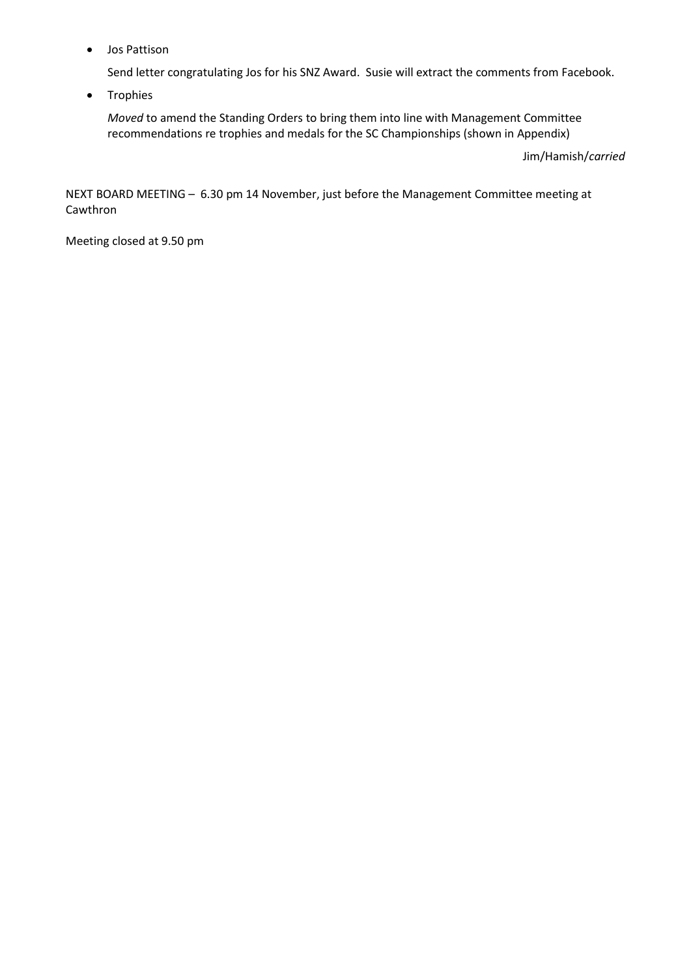Jos Pattison

Send letter congratulating Jos for his SNZ Award. Susie will extract the comments from Facebook.

• Trophies

*Moved* to amend the Standing Orders to bring them into line with Management Committee recommendations re trophies and medals for the SC Championships (shown in Appendix)

Jim/Hamish/*carried*

NEXT BOARD MEETING – 6.30 pm 14 November, just before the Management Committee meeting at Cawthron

Meeting closed at 9.50 pm